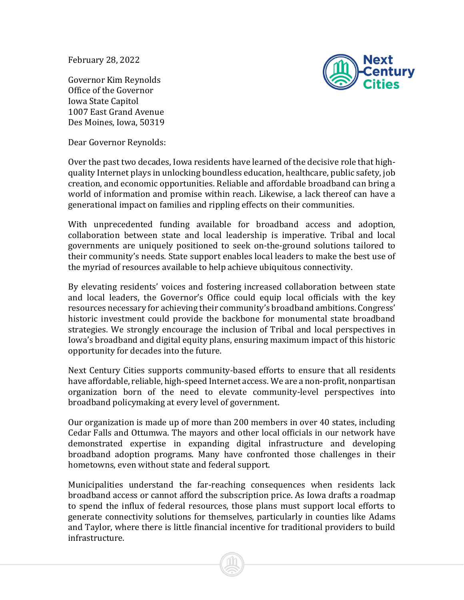February 28, 2022



Governor Kim Reynolds Office of the Governor Iowa State Capitol 1007 East Grand Avenue Des Moines, Iowa, 50319

Dear Governor Reynolds:

Over the past two decades, Iowa residents have learned of the decisive role that highquality Internet plays in unlocking boundless education, healthcare, public safety, job creation, and economic opportunities. Reliable and affordable broadband can bring a world of information and promise within reach. Likewise, a lack thereof can have a generational impact on families and rippling effects on their communities.

With unprecedented funding available for broadband access and adoption, collaboration between state and local leadership is imperative. Tribal and local governments are uniquely positioned to seek on-the-ground solutions tailored to their community's needs. State support enables local leaders to make the best use of the myriad of resources available to help achieve ubiquitous connectivity.

By elevating residents' voices and fostering increased collaboration between state and local leaders, the Governor's Office could equip local officials with the key resources necessary for achieving their community's broadband ambitions. Congress' historic investment could provide the backbone for monumental state broadband strategies. We strongly encourage the inclusion of Tribal and local perspectives in Iowa's broadband and digital equity plans, ensuring maximum impact of this historic opportunity for decades into the future.

Next Century Cities supports community-based efforts to ensure that all residents have affordable, reliable, high-speed Internet access. We are a non-profit, nonpartisan organization born of the need to elevate community-level perspectives into broadband policymaking at every level of government.

Our organization is made up of more than 200 members in over 40 states, including Cedar Falls and Ottumwa. The mayors and other local officials in our network have demonstrated expertise in expanding digital infrastructure and developing broadband adoption programs. Many have confronted those challenges in their hometowns, even without state and federal support.

Municipalities understand the far-reaching consequences when residents lack broadband access or cannot afford the subscription price. As Iowa drafts a roadmap to spend the influx of federal resources, those plans must support local efforts to generate connectivity solutions for themselves, particularly in counties like Adams and Taylor, where there is little financial incentive for traditional providers to build infrastructure.